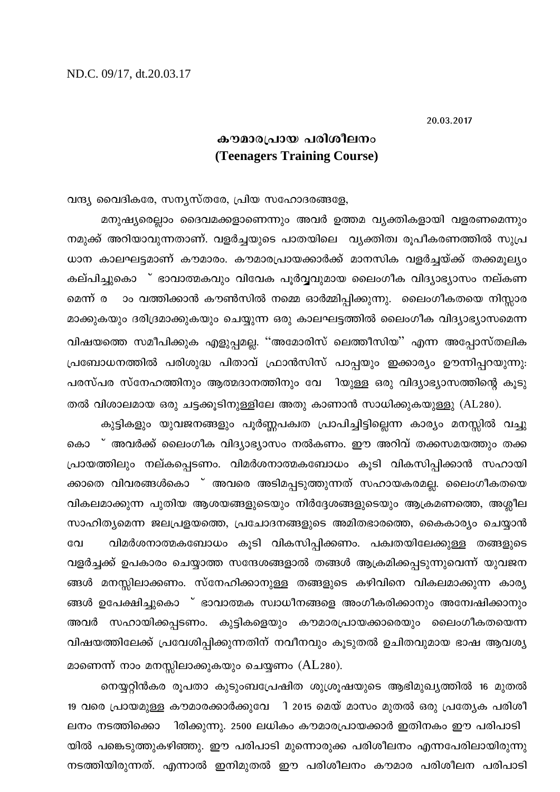20.03.2017

## കൗമാരപ്രായ പരിശീലനം **(Teenagers Training Course)**

വന്ദ്യ വൈദികരേ, സന്യസ്തരേ, പ്രിയ സഹോദരങ്ങളേ,

മനുഷ്യരെല്ലാം ദൈവമക്കളാണെന്നും അവർ ഉത്തമ വ്യക്തികളായി വളരണമെന്നും നമുക്ക് അറിയാവുന്നതാണ്. വളർച്ചയുടെ പാതയിലെ വ്യക്തിത്വ രൂപീകരണത്തിൽ സുപ്ര ധാന കാലഘട്ടമാണ് കൗമാരം. കൗമാരപ്രായക്കാർക്ക് മാനസിക വളർച്ചയ്ക്ക് തക്കമൂല്യം കല്പിച്ചുകൊ ് ഭാവാത്മകവും വിവേക പൂർവ്വവുമായ ലൈംഗീക വിദ്യാഭ്യാസം നല്കണ ാം വത്തിക്കാൻ കൗൺസിൽ നമ്മെ ഓർമ്മിപ്പിക്കുന്നു. ലൈംഗീകതയെ നിസ്സാര മെന്ന് ര മാക്കുകയും ദരിദ്രമാക്കുകയും ചെയ്യുന്ന ഒരു കാലഘട്ടത്തിൽ ലൈംഗീക വിദ്യാഭ്യാസമെന്ന വിഷയത്തെ സമീപിക്കുക എളുപ്പമല്ല. ''അമോരിസ് ലെത്തീസിയ'' എന്ന അപ്പോസ്തലിക പ്രബോധനത്തിൽ പരിശുദ്ധ പിതാവ് ഫ്രാൻസിസ് പാപ്പയും ഇക്കാര്യം ഊന്നിപ്പറയുന്നു: പരസ്പര സ്നേഹത്തിനും ആത്മദാനത്തിനും വേ ിയുള്ള ഒരു വിദ്യാഭ്യാസത്തിന്റെ കൂടു തൽ വിശാലമായ ഒരു ചട്ടക്കൂടിനുള്ളിലേ അതു കാണാൻ സാധിക്കുകയുള്ളു (AL280).

കുട്ടികളും യുവജനങ്ങളും പൂർണ്ണപക്വത പ്രാപിച്ചിട്ടില്ലെന്ന കാര്യം മനസ്സിൽ വച്ചു കൊ ് അവർക്ക് ലൈംഗീക വിദ്യാഭ്യാസം നൽകണം. ഈ അറിവ് തക്കസമയത്തും തക്ക പ്രായത്തിലും നല്കപ്പെടണം. വിമർശനാത്മകബോധം കൂടി വികസിപ്പിക്കാൻ സഹായി ക്കാതെ വിവരങ്ങൾകൊ ് അവരെ അടിമപ്പടുത്തുന്നത് സഹായകരമല്ല. ലൈംഗീകതയെ വികലമാക്കുന്ന പുതിയ ആശയങ്ങളുടെയും നിർദ്ദേശങ്ങളുടെയും ആക്രമണത്തെ, അശ്ലീല സാഹിത്യമെന്ന ജലപ്രളയത്തെ, പ്രചോദനങ്ങളുടെ അമിതഭാരത്തെ, കൈകാര്യം ചെയ്യാൻ വിമർശനാത്മകബോധം കൂടി വികസിപ്പിക്കണം. പക്വതയിലേക്കുള്ള തങ്ങളുടെ വേ വളർച്ചക്ക് ഉപകാരം ചെയ്യാത്ത സന്ദേശങ്ങളാൽ തങ്ങൾ ആക്രമിക്കപ്പടുന്നുവെന്ന് യുവജന ങ്ങൾ മനസ്സിലാക്കണം. സ്നേഹിക്കാനുള്ള തങ്ങളുടെ കഴിവിനെ വികലമാക്കുന്ന കാര്യ ങ്ങൾ ഉപേക്ഷിച്ചുകൊ ് ഭാവാത്മക സ്വാധീനങ്ങളെ അംഗീകരിക്കാനും അന്വേഷിക്കാനും അവർ സഹായിക്കപ്പടണം. കുട്ടികളെയും കൗമാരപ്രായക്കാരെയും ലൈംഗീകതയെന്ന വിഷയത്തിലേക്ക് പ്രവേശിപ്പിക്കുന്നതിന് നവീനവും കൂടുതൽ ഉചിതവുമായ ഭാഷ ആവശ്യ മാണെന്ന് നാം മനസ്സിലാക്കുകയും ചെയ്യണം (AL280).

നെയ്യറ്റിൻകര രൂപതാ കുടുംബപ്രേഷിത ശുശ്രൂഷയുടെ ആഭിമുഖ്യത്തിൽ 16 മുതൽ 19 വരെ പ്രായമുള്ള കൗമാരക്കാർക്കുവേ ി 2015 മെയ് മാസം മുതൽ ഒരു പ്രത്യേക പരിശീ ലനം നടത്തിക്കൊ ിരിക്കുന്നു. 2500 ലധികം കൗമാരപ്രായക്കാർ ഇതിനകം ഈ പരിപാടി യിൽ പങ്കെടുത്തുകഴിഞ്ഞു. ഈ പരിപാടി മുന്നൊരുക്ക പരിശീലനം എന്നപേരിലായിരുന്നു നടത്തിയിരുന്നത്. എന്നാൽ ഇനിമുതൽ ഈ പരിശീലനം കൗമാര പരിശീലന പരിപാടി